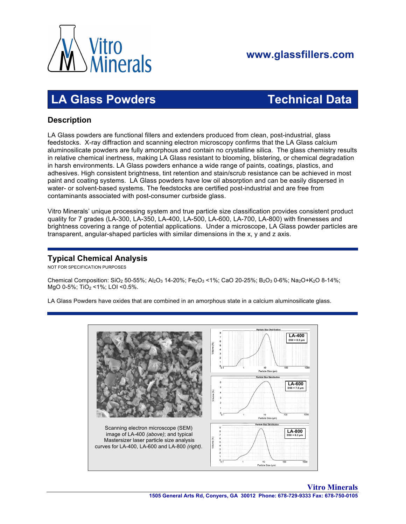

# **www.glassfillers.com**

# **LA Glass Powders Technical Data**

## **Description**

LA Glass powders are functional fillers and extenders produced from clean, post-industrial, glass feedstocks. X-ray diffraction and scanning electron microscopy confirms that the LA Glass calcium aluminosilicate powders are fully amorphous and contain no crystalline silica. The glass chemistry results in relative chemical inertness, making LA Glass resistant to blooming, blistering, or chemical degradation in harsh environments. LA Glass powders enhance a wide range of paints, coatings, plastics, and adhesives. High consistent brightness, tint retention and stain/scrub resistance can be achieved in most paint and coating systems. LA Glass powders have low oil absorption and can be easily dispersed in water- or solvent-based systems. The feedstocks are certified post-industrial and are free from contaminants associated with post-consumer curbside glass.

Vitro Minerals' unique processing system and true particle size classification provides consistent product quality for 7 grades (LA-300, LA-350, LA-400, LA-500, LA-600, LA-700, LA-800) with finenesses and brightness covering a range of potential applications. Under a microscope, LA Glass powder particles are transparent, angular-shaped particles with similar dimensions in the x, y and z axis.

### **Typical Chemical Analysis**

NOT FOR SPECIFICATION PURPOSES

Chemical Composition:  $SiO_2$  50-55%; Al<sub>2</sub>O<sub>3</sub> 14-20%; Fe<sub>2</sub>O<sub>3</sub> < 1%; CaO 20-25%; B<sub>2</sub>O<sub>3</sub> 0-6%; Na<sub>2</sub>O+K<sub>2</sub>O 8-14%; MgO 0-5%; TiO<sub>2</sub> <1%; LOI <0.5%.

LA Glass Powders have oxides that are combined in an amorphous state in a calcium aluminosilicate glass.